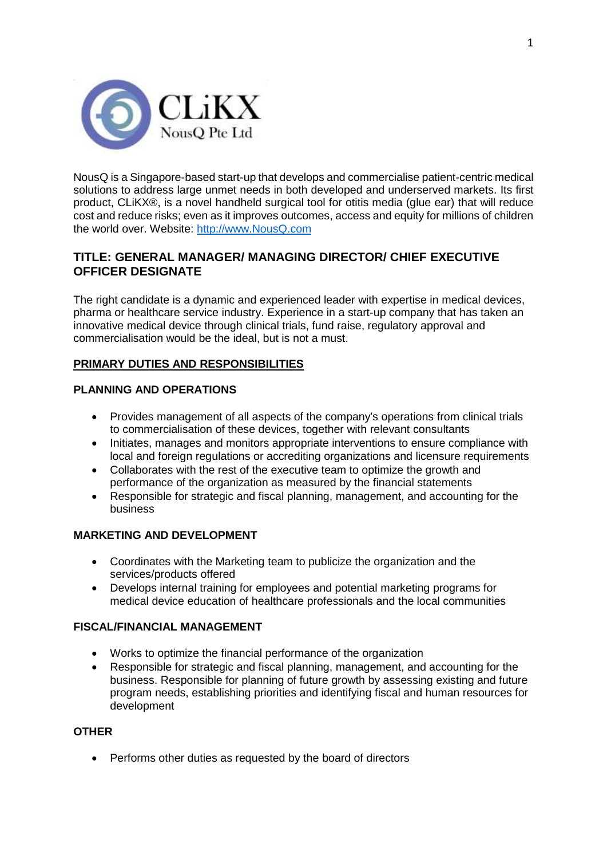

NousQ is a Singapore-based start-up that develops and commercialise patient-centric medical solutions to address large unmet needs in both developed and underserved markets. Its first product, CLiKX®, is a novel handheld surgical tool for otitis media (glue ear) that will reduce cost and reduce risks; even as it improves outcomes, access and equity for millions of children the world over. Website: [http://www.NousQ.com](http://www.nousq.com/)

# **TITLE: GENERAL MANAGER/ MANAGING DIRECTOR/ CHIEF EXECUTIVE OFFICER DESIGNATE**

The right candidate is a dynamic and experienced leader with expertise in medical devices, pharma or healthcare service industry. Experience in a start-up company that has taken an innovative medical device through clinical trials, fund raise, regulatory approval and commercialisation would be the ideal, but is not a must.

### **PRIMARY DUTIES AND RESPONSIBILITIES**

### **PLANNING AND OPERATIONS**

- Provides management of all aspects of the company's operations from clinical trials to commercialisation of these devices, together with relevant consultants
- Initiates, manages and monitors appropriate interventions to ensure compliance with local and foreign regulations or accrediting organizations and licensure requirements
- Collaborates with the rest of the executive team to optimize the growth and performance of the organization as measured by the financial statements
- Responsible for strategic and fiscal planning, management, and accounting for the business

### **MARKETING AND DEVELOPMENT**

- Coordinates with the Marketing team to publicize the organization and the services/products offered
- Develops internal training for employees and potential marketing programs for medical device education of healthcare professionals and the local communities

### **FISCAL/FINANCIAL MANAGEMENT**

- Works to optimize the financial performance of the organization
- Responsible for strategic and fiscal planning, management, and accounting for the business. Responsible for planning of future growth by assessing existing and future program needs, establishing priorities and identifying fiscal and human resources for development

### **OTHER**

• Performs other duties as requested by the board of directors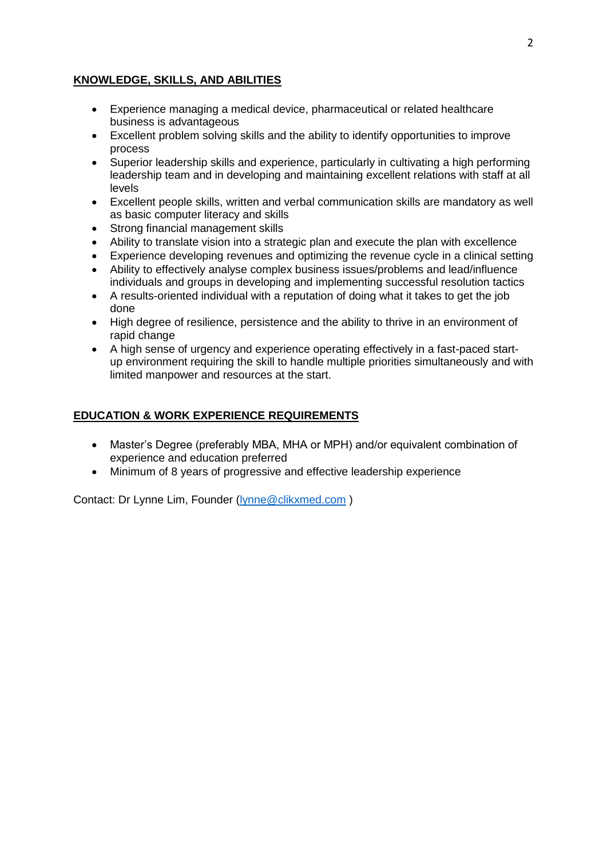### **KNOWLEDGE, SKILLS, AND ABILITIES**

- Experience managing a medical device, pharmaceutical or related healthcare business is advantageous
- Excellent problem solving skills and the ability to identify opportunities to improve process
- Superior leadership skills and experience, particularly in cultivating a high performing leadership team and in developing and maintaining excellent relations with staff at all levels
- Excellent people skills, written and verbal communication skills are mandatory as well as basic computer literacy and skills
- Strong financial management skills
- Ability to translate vision into a strategic plan and execute the plan with excellence
- Experience developing revenues and optimizing the revenue cycle in a clinical setting
- Ability to effectively analyse complex business issues/problems and lead/influence individuals and groups in developing and implementing successful resolution tactics
- A results-oriented individual with a reputation of doing what it takes to get the job done
- High degree of resilience, persistence and the ability to thrive in an environment of rapid change
- A high sense of urgency and experience operating effectively in a fast-paced startup environment requiring the skill to handle multiple priorities simultaneously and with limited manpower and resources at the start.

### **EDUCATION & WORK EXPERIENCE REQUIREMENTS**

- Master's Degree (preferably MBA, MHA or MPH) and/or equivalent combination of experience and education preferred
- Minimum of 8 years of progressive and effective leadership experience

Contact: Dr Lynne Lim, Founder [\(lynne@clikxmed.com](mailto:lynne@clikxmed.com) )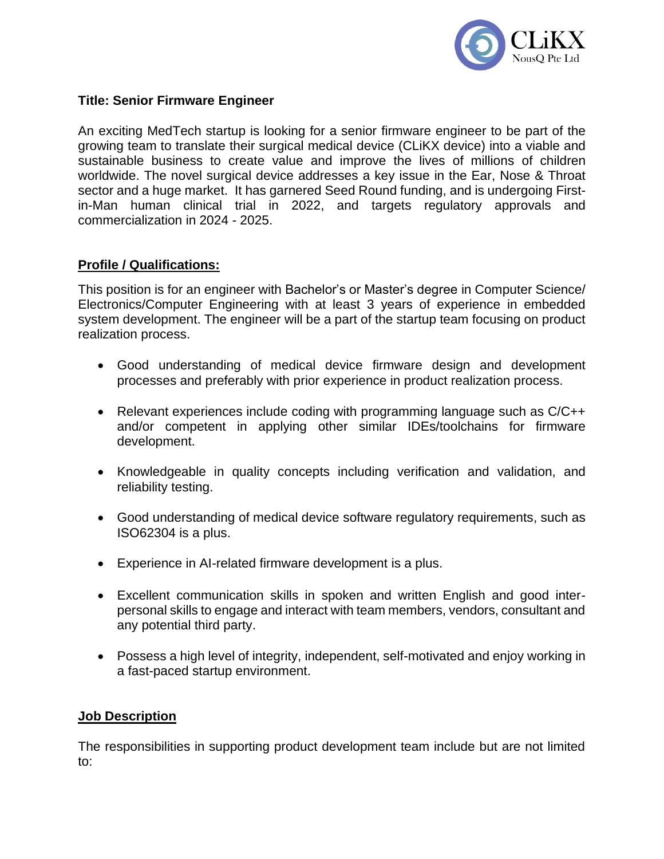

## **Title: Senior Firmware Engineer**

An exciting MedTech startup is looking for a senior firmware engineer to be part of the growing team to translate their surgical medical device (CLiKX device) into a viable and sustainable business to create value and improve the lives of millions of children worldwide. The novel surgical device addresses a key issue in the Ear, Nose & Throat sector and a huge market. It has garnered Seed Round funding, and is undergoing Firstin-Man human clinical trial in 2022, and targets regulatory approvals and commercialization in 2024 - 2025.

## **Profile / Qualifications:**

This position is for an engineer with Bachelor's or Master's degree in Computer Science/ Electronics/Computer Engineering with at least 3 years of experience in embedded system development. The engineer will be a part of the startup team focusing on product realization process.

- Good understanding of medical device firmware design and development processes and preferably with prior experience in product realization process.
- Relevant experiences include coding with programming language such as C/C++ and/or competent in applying other similar IDEs/toolchains for firmware development.
- Knowledgeable in quality concepts including verification and validation, and reliability testing.
- Good understanding of medical device software regulatory requirements, such as ISO62304 is a plus.
- Experience in AI-related firmware development is a plus.
- Excellent communication skills in spoken and written English and good interpersonal skills to engage and interact with team members, vendors, consultant and any potential third party.
- Possess a high level of integrity, independent, self-motivated and enjoy working in a fast-paced startup environment.

### **Job Description**

The responsibilities in supporting product development team include but are not limited to: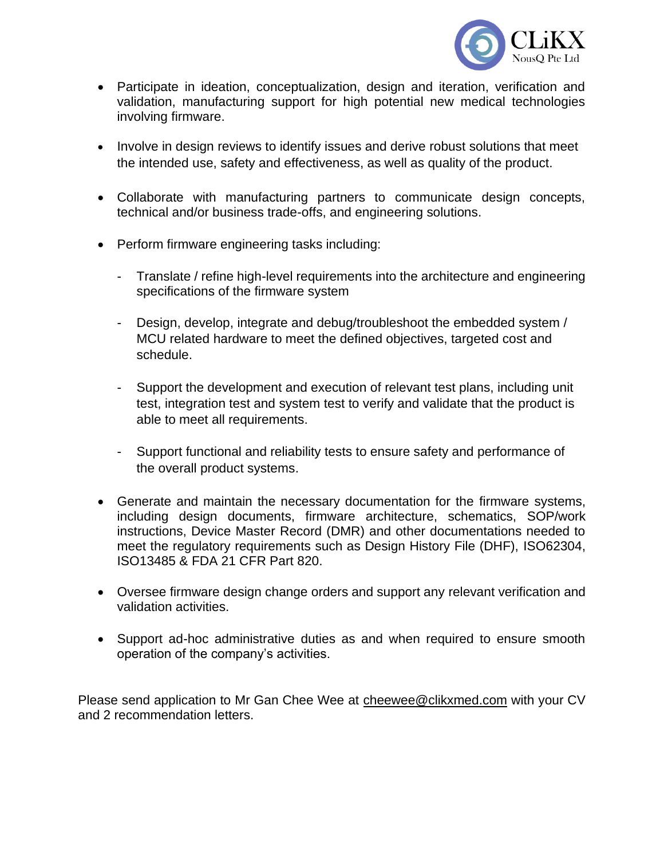

- Participate in ideation, conceptualization, design and iteration, verification and validation, manufacturing support for high potential new medical technologies involving firmware.
- Involve in design reviews to identify issues and derive robust solutions that meet the intended use, safety and effectiveness, as well as quality of the product.
- Collaborate with manufacturing partners to communicate design concepts, technical and/or business trade-offs, and engineering solutions.
- Perform firmware engineering tasks including:
	- Translate / refine high-level requirements into the architecture and engineering specifications of the firmware system
	- Design, develop, integrate and debug/troubleshoot the embedded system / MCU related hardware to meet the defined objectives, targeted cost and schedule.
	- Support the development and execution of relevant test plans, including unit test, integration test and system test to verify and validate that the product is able to meet all requirements.
	- Support functional and reliability tests to ensure safety and performance of the overall product systems.
- Generate and maintain the necessary documentation for the firmware systems, including design documents, firmware architecture, schematics, SOP/work instructions, Device Master Record (DMR) and other documentations needed to meet the regulatory requirements such as Design History File (DHF), ISO62304, ISO13485 & FDA 21 CFR Part 820.
- Oversee firmware design change orders and support any relevant verification and validation activities.
- Support ad-hoc administrative duties as and when required to ensure smooth operation of the company's activities.

Please send application to Mr Gan Chee Wee at [cheewee@clikxmed.com](mailto:cheewee@clikxmed.com) with your CV and 2 recommendation letters.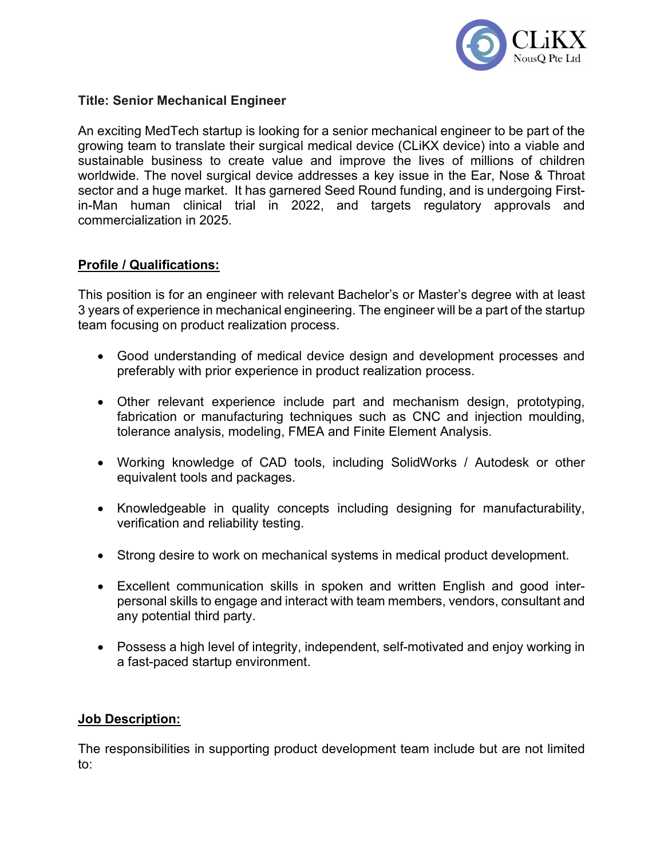

## Title: Senior Mechanical Engineer

An exciting MedTech startup is looking for a senior mechanical engineer to be part of the growing team to translate their surgical medical device (CLiKX device) into a viable and sustainable business to create value and improve the lives of millions of children worldwide. The novel surgical device addresses a key issue in the Ear, Nose & Throat sector and a huge market. It has garnered Seed Round funding, and is undergoing Firstin-Man human clinical trial in 2022, and targets regulatory approvals and commercialization in 2025.

## Profile / Qualifications:

This position is for an engineer with relevant Bachelor's or Master's degree with at least 3 years of experience in mechanical engineering. The engineer will be a part of the startup team focusing on product realization process.

- Good understanding of medical device design and development processes and preferably with prior experience in product realization process.
- Other relevant experience include part and mechanism design, prototyping, fabrication or manufacturing techniques such as CNC and injection moulding, tolerance analysis, modeling, FMEA and Finite Element Analysis.
- Working knowledge of CAD tools, including SolidWorks / Autodesk or other equivalent tools and packages.
- Knowledgeable in quality concepts including designing for manufacturability, verification and reliability testing.
- Strong desire to work on mechanical systems in medical product development.
- Excellent communication skills in spoken and written English and good interpersonal skills to engage and interact with team members, vendors, consultant and any potential third party.
- Possess a high level of integrity, independent, self-motivated and enjoy working in a fast-paced startup environment.

## Job Description:

The responsibilities in supporting product development team include but are not limited to: